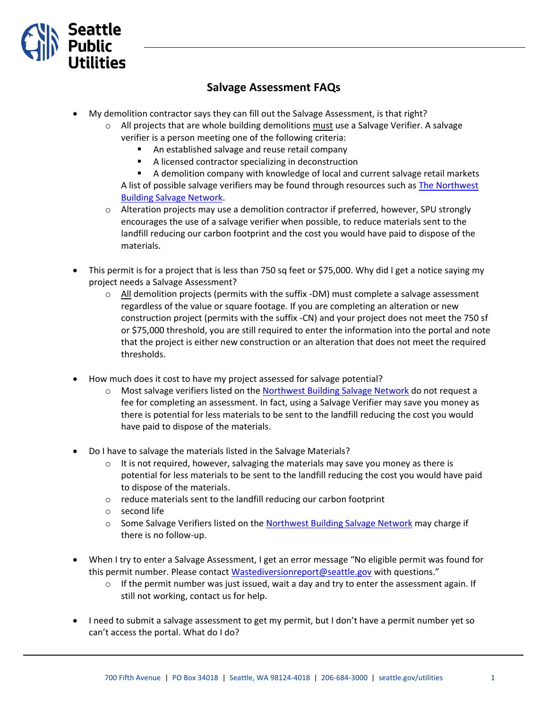

## **Salvage Assessment FAQs**

- My demolition contractor says they can fill out the Salvage Assessment, is that right?
	- $\circ$  All projects that are whole building demolitions must use a Salvage Verifier. A salvage verifier is a person meeting one of the following criteria:
		- An established salvage and reuse retail company
		- A licensed contractor specializing in deconstruction
		- A demolition company with knowledge of local and current salvage retail markets

A list of possible salvage verifiers may be found through resources such as The Northwest [Building Salvage Network.](https://www.nbsnseattle.org/)

- $\circ$  Alteration projects may use a demolition contractor if preferred, however, SPU strongly encourages the use of a salvage verifier when possible, to reduce materials sent to the landfill reducing our carbon footprint and the cost you would have paid to dispose of the materials.
- This permit is for a project that is less than 750 sq feet or \$75,000. Why did I get a notice saying my project needs a Salvage Assessment?
	- $\circ$  All demolition projects (permits with the suffix -DM) must complete a salvage assessment regardless of the value or square footage. If you are completing an alteration or new construction project (permits with the suffix -CN) and your project does not meet the 750 sf or \$75,000 threshold, you are still required to enter the information into the portal and note that the project is either new construction or an alteration that does not meet the required thresholds.
- How much does it cost to have my project assessed for salvage potential?
	- o Most salvage verifiers listed on the [Northwest Building Salvage Network](https://www.nbsnseattle.org/) do not request a fee for completing an assessment. In fact, using a Salvage Verifier may save you money as there is potential for less materials to be sent to the landfill reducing the cost you would have paid to dispose of the materials.
- Do I have to salvage the materials listed in the Salvage Materials?
	- $\circ$  It is not required, however, salvaging the materials may save you money as there is potential for less materials to be sent to the landfill reducing the cost you would have paid to dispose of the materials.
	- o reduce materials sent to the landfill reducing our carbon footprint
	- o second life
	- $\circ$  Some Salvage Verifiers listed on the [Northwest Building Salvage Network](https://www.nbsnseattle.org/) may charge if there is no follow-up.
- When I try to enter a Salvage Assessment, I get an error message "No eligible permit was found for this permit number. Please contac[t Wastediversionreport@seattle.gov](mailto:Wastediversionreport@seattle.gov) with questions."
	- $\circ$  If the permit number was just issued, wait a day and try to enter the assessment again. If still not working, contact us for help.
- I need to submit a salvage assessment to get my permit, but I don't have a permit number yet so can't access the portal. What do I do?